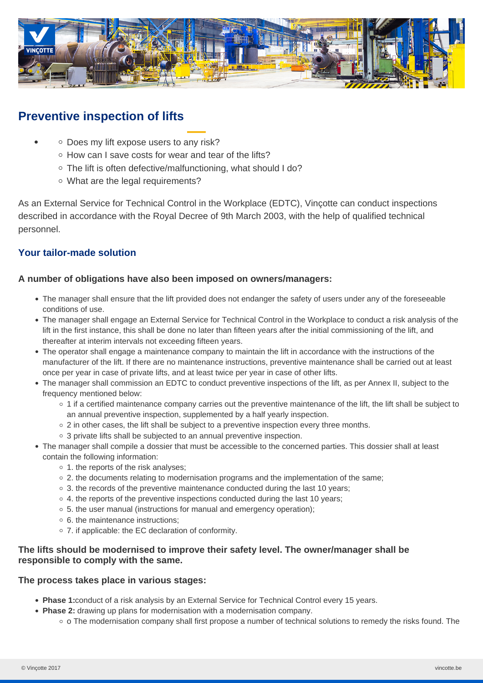

# **Preventive inspection of lifts**

- o Does my lift expose users to any risk?
	- o How can I save costs for wear and tear of the lifts?
	- The lift is often defective/malfunctioning, what should I do?
	- What are the legal requirements?

As an External Service for Technical Control in the Workplace (EDTC), Vinçotte can conduct inspections described in accordance with the Royal Decree of 9th March 2003, with the help of qualified technical personnel.

# **Your tailor-made solution**

#### **A number of obligations have also been imposed on owners/managers:**

- The manager shall ensure that the lift provided does not endanger the safety of users under any of the foreseeable conditions of use.
- The manager shall engage an External Service for Technical Control in the Workplace to conduct a risk analysis of the lift in the first instance, this shall be done no later than fifteen years after the initial commissioning of the lift, and thereafter at interim intervals not exceeding fifteen years.
- The operator shall engage a maintenance company to maintain the lift in accordance with the instructions of the manufacturer of the lift. If there are no maintenance instructions, preventive maintenance shall be carried out at least once per year in case of private lifts, and at least twice per year in case of other lifts.
- The manager shall commission an EDTC to conduct preventive inspections of the lift, as per Annex II, subject to the frequency mentioned below:
	- 1 if a certified maintenance company carries out the preventive maintenance of the lift, the lift shall be subject to an annual preventive inspection, supplemented by a half yearly inspection.
	- $\circ$  2 in other cases, the lift shall be subject to a preventive inspection every three months.
	- o 3 private lifts shall be subjected to an annual preventive inspection.
- The manager shall compile a dossier that must be accessible to the concerned parties. This dossier shall at least contain the following information:
	- $\circ$  1. the reports of the risk analyses;
	- $\circ$  2. the documents relating to modernisation programs and the implementation of the same:
	- 3. the records of the preventive maintenance conducted during the last 10 years;
	- 4. the reports of the preventive inspections conducted during the last 10 years;
	- 5. the user manual (instructions for manual and emergency operation);
	- 6. the maintenance instructions;
	- 7. if applicable: the EC declaration of conformity.

## **The lifts should be modernised to improve their safety level. The owner/manager shall be responsible to comply with the same.**

#### **The process takes place in various stages:**

- **Phase 1:**conduct of a risk analysis by an External Service for Technical Control every 15 years.
- **Phase 2:** drawing up plans for modernisation with a modernisation company.
	- o The modernisation company shall first propose a number of technical solutions to remedy the risks found. The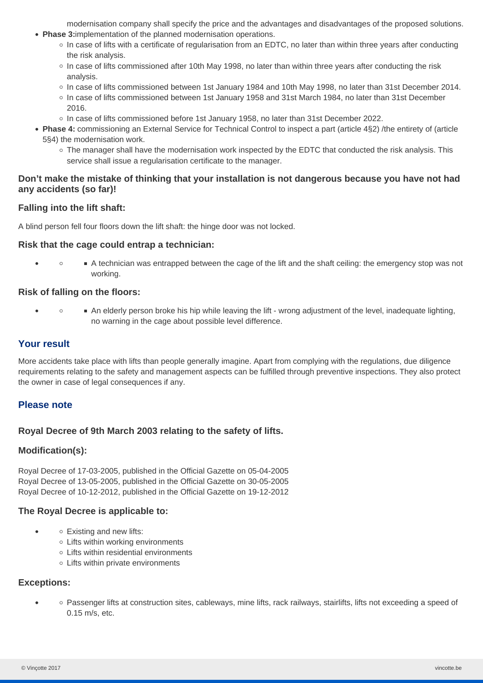modernisation company shall specify the price and the advantages and disadvantages of the proposed solutions.

- **Phase 3:**implementation of the planned modernisation operations.
	- $\circ$  In case of lifts with a certificate of regularisation from an EDTC, no later than within three years after conducting the risk analysis.
	- In case of lifts commissioned after 10th May 1998, no later than within three years after conducting the risk analysis.
	- In case of lifts commissioned between 1st January 1984 and 10th May 1998, no later than 31st December 2014.
	- In case of lifts commissioned between 1st January 1958 and 31st March 1984, no later than 31st December 2016.
	- o In case of lifts commissioned before 1st January 1958, no later than 31st December 2022.
- **Phase 4:** commissioning an External Service for Technical Control to inspect a part (article 4§2) /the entirety of (article 5§4) the modernisation work.
	- $\circ$  The manager shall have the modernisation work inspected by the EDTC that conducted the risk analysis. This service shall issue a regularisation certificate to the manager.

#### **Don't make the mistake of thinking that your installation is not dangerous because you have not had any accidents (so far)!**

## **Falling into the lift shaft:**

A blind person fell four floors down the lift shaft: the hinge door was not locked.

#### **Risk that the cage could entrap a technician:**

 $\bullet$  $\circ$ A technician was entrapped between the cage of the lift and the shaft ceiling: the emergency stop was not working.

#### **Risk of falling on the floors:**

 $\circ$ An elderly person broke his hip while leaving the lift - wrong adjustment of the level, inadequate lighting, no warning in the cage about possible level difference.

### **Your result**

More accidents take place with lifts than people generally imagine. Apart from complying with the regulations, due diligence requirements relating to the safety and management aspects can be fulfilled through preventive inspections. They also protect the owner in case of legal consequences if any.

#### **Please note**

#### **Royal Decree of 9th March 2003 relating to the safety of lifts.**

#### **Modification(s):**

Royal Decree of 17-03-2005, published in the Official Gazette on 05-04-2005 Royal Decree of 13-05-2005, published in the Official Gazette on 30-05-2005 Royal Decree of 10-12-2012, published in the Official Gazette on 19-12-2012

#### **The Royal Decree is applicable to:**

- $\circ$  Existing and new lifts:
	- $\circ$  Lifts within working environments
	- Lifts within residential environments
	- Lifts within private environments

#### **Exceptions:**

 $\bullet$ 

Passenger lifts at construction sites, cableways, mine lifts, rack railways, stairlifts, lifts not exceeding a speed of  $\lambda$ 0.15 m/s, etc.